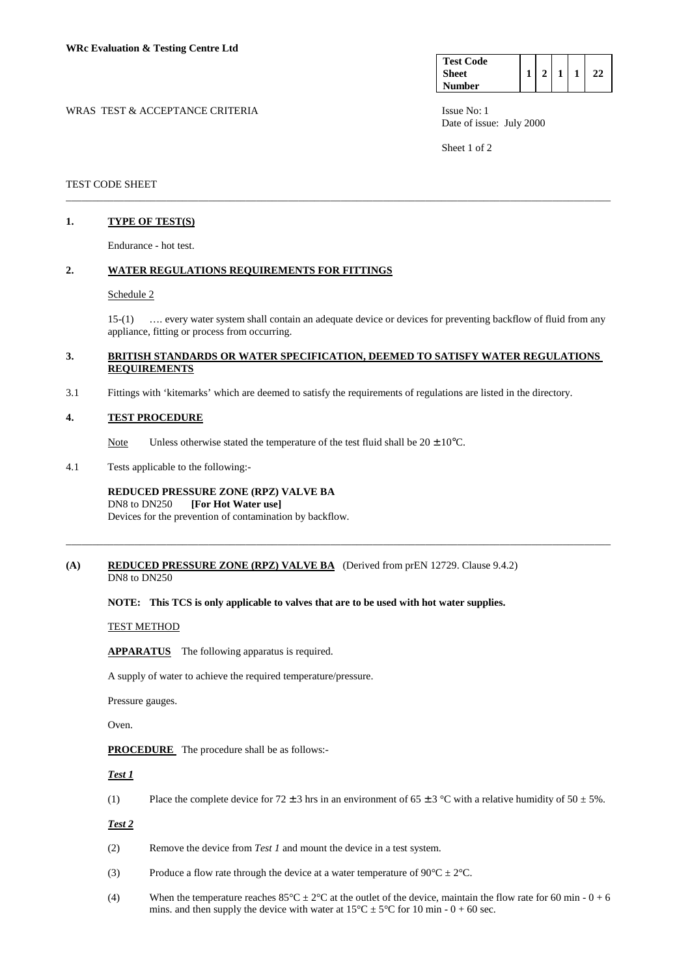| <b>Test Code</b> |  |  |  |
|------------------|--|--|--|
| <b>Sheet</b>     |  |  |  |
| <b>Number</b>    |  |  |  |

WRAS TEST & ACCEPTANCE CRITERIA ISSUE No: 1 Date of issue: July 2000

Sheet 1 of 2

### TEST CODE SHEET

# **1. TYPE OF TEST(S)**

Endurance - hot test.

## **2. WATER REGULATIONS REQUIREMENTS FOR FITTINGS**

#### Schedule 2

 15-(1) …. every water system shall contain an adequate device or devices for preventing backflow of fluid from any appliance, fitting or process from occurring.

### **3. BRITISH STANDARDS OR WATER SPECIFICATION, DEEMED TO SATISFY WATER REGULATIONS REQUIREMENTS**

\_\_\_\_\_\_\_\_\_\_\_\_\_\_\_\_\_\_\_\_\_\_\_\_\_\_\_\_\_\_\_\_\_\_\_\_\_\_\_\_\_\_\_\_\_\_\_\_\_\_\_\_\_\_\_\_\_\_\_\_\_\_\_\_\_\_\_\_\_\_\_\_\_\_\_\_\_\_\_\_\_\_\_\_\_\_\_\_\_\_\_\_\_\_\_\_\_\_\_\_\_\_\_

\_\_\_\_\_\_\_\_\_\_\_\_\_\_\_\_\_\_\_\_\_\_\_\_\_\_\_\_\_\_\_\_\_\_\_\_\_\_\_\_\_\_\_\_\_\_\_\_\_\_\_\_\_\_\_\_\_\_\_\_\_\_\_\_\_\_\_\_\_\_\_\_\_\_\_\_\_\_\_\_\_\_\_\_\_\_\_\_\_\_\_\_\_\_\_\_\_\_\_\_\_\_\_

3.1 Fittings with 'kitemarks' which are deemed to satisfy the requirements of regulations are listed in the directory.

#### **4. TEST PROCEDURE**

Note Unless otherwise stated the temperature of the test fluid shall be  $20 \pm 10^{\circ}$ C.

4.1 Tests applicable to the following:-

### **REDUCED PRESSURE ZONE (RPZ) VALVE BA**

DN8 to DN250 **[For Hot Water use]** 

Devices for the prevention of contamination by backflow.

### **(A) REDUCED PRESSURE ZONE (RPZ) VALVE BA** (Derived from prEN 12729. Clause 9.4.2) DN8 to DN250

#### **NOTE: This TCS is only applicable to valves that are to be used with hot water supplies.**

#### TEST METHOD

**APPARATUS** The following apparatus is required.

A supply of water to achieve the required temperature/pressure.

Pressure gauges.

Oven.

**PROCEDURE** The procedure shall be as follows:-

#### *Test 1*

(1) Place the complete device for  $72 \pm 3$  hrs in an environment of  $65 \pm 3$  °C with a relative humidity of  $50 \pm 5$ %.

#### *Test 2*

- (2) Remove the device from *Test 1* and mount the device in a test system.
- (3) Produce a flow rate through the device at a water temperature of  $90^{\circ}C \pm 2^{\circ}C$ .
- (4) When the temperature reaches  $85^{\circ}\text{C} \pm 2^{\circ}\text{C}$  at the outlet of the device, maintain the flow rate for 60 min 0 + 6 mins. and then supply the device with water at  $15^{\circ}$ C  $\pm$  5°C for 10 min - 0 + 60 sec.